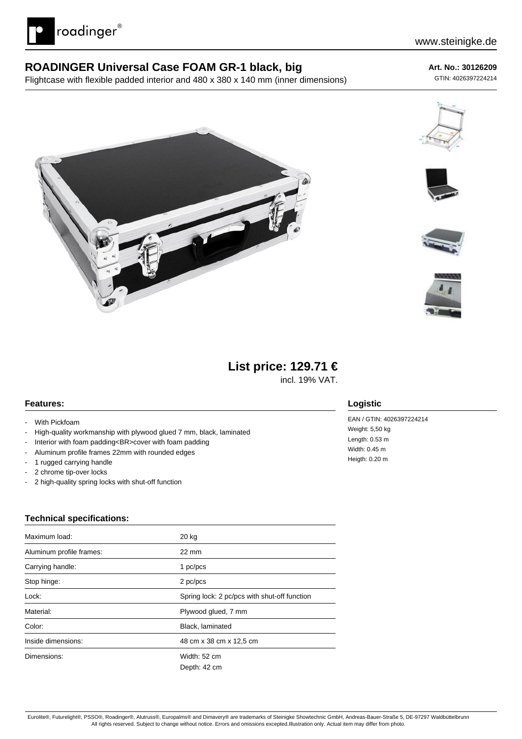

### **ROADINGER Universal Case FOAM GR-1 black, big**

Flightcase with flexible padded interior and 480 x 380 x 140 mm (inner dimensions)

#### **Art. No.: 30126209**

GTIN: 4026397224214











## **List price: 129.71 €**

incl. 19% VAT.

#### **Features:**

- With Pickfoam
- High-quality workmanship with plywood glued 7 mm, black, laminated
- Interior with foam padding<BR>cover with foam padding
- Aluminum profile frames 22mm with rounded edges
- 1 rugged carrying handle
- 2 chrome tip-over locks
- 2 high-quality spring locks with shut-off function

# **Logistic**

EAN / GTIN: 4026397224214 Weight: 5,50 kg Length: 0.53 m Width: 0.45 m Heigth: 0.20 m

#### **Technical specifications:**

| Maximum load:            | 20 kg                                        |  |
|--------------------------|----------------------------------------------|--|
| Aluminum profile frames: | $22 \text{ mm}$                              |  |
| Carrying handle:         | 1 pc/pcs                                     |  |
| Stop hinge:              | 2 pc/pcs                                     |  |
| Lock:                    | Spring lock: 2 pc/pcs with shut-off function |  |
| Material:                | Plywood glued, 7 mm                          |  |
| Color:                   | Black, laminated                             |  |
| Inside dimensions:       | 48 cm x 38 cm x 12,5 cm                      |  |
| Dimensions:              | Width: 52 cm                                 |  |
|                          | Depth: 42 cm                                 |  |

Eurolite®, Futurelight®, PSSO®, Roadinger®, Alutruss®, Europalms® and Dimavery® are trademarks of Steinigke Showtechnic GmbH, Andreas-Bauer-Straße 5, DE-97297 Waldbüttelbrunn All rights reserved. Subject to change without notice. Errors and omissions excepted.Illustration only. Actual item may differ from photo.